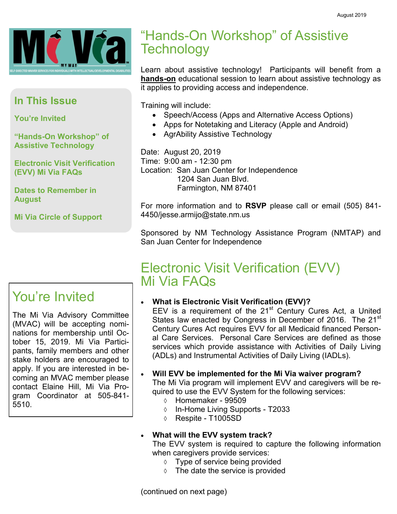

## **In This Issue**

**You're Invited**

**"Hands-On Workshop" of Assistive Technology**

**Electronic Visit Verification (EVV) Mi Via FAQs**

**Dates to Remember in August**

**Mi Via Circle of Support**

## You're Invited

The Mi Via Advisory Committee (MVAC) will be accepting nominations for membership until October 15, 2019. Mi Via Participants, family members and other stake holders are encouraged to apply. If you are interested in becoming an MVAC member please contact Elaine Hill, Mi Via Program Coordinator at 505-841- 5510.

## "Hands-On Workshop" of Assistive **Technology**

Learn about assistive technology! Participants will benefit from a **hands-on** educational session to learn about assistive technology as it applies to providing access and independence.

Training will include:

- Speech/Access (Apps and Alternative Access Options)
- Apps for Notetaking and Literacy (Apple and Android)
- AgrAbility Assistive Technology

Date: August 20, 2019 Time: 9:00 am - 12:30 pm Location: San Juan Center for Independence 1204 San Juan Blvd. Farmington, NM 87401

For more information and to **RSVP** please call or email (505) 841- 4450/jesse.armijo@state.nm.us

Sponsored by NM Technology Assistance Program (NMTAP) and San Juan Center for Independence

## Electronic Visit Verification (EVV) Mi Via FAQs

## • **What is Electronic Visit Verification (EVV)?**

EEV is a requirement of the  $21<sup>st</sup>$  Century Cures Act, a United States law enacted by Congress in December of 2016. The 21<sup>st</sup> Century Cures Act requires EVV for all Medicaid financed Personal Care Services. Personal Care Services are defined as those services which provide assistance with Activities of Daily Living (ADLs) and Instrumental Activities of Daily Living (IADLs).

• **Will EVV be implemented for the Mi Via waiver program?**

The Mi Via program will implement EVV and caregivers will be required to use the EVV System for the following services:

- $\circ$  Homemaker 99509
- $\circ$  In-Home Living Supports T2033
- $\lozenge$  Respite T1005SD

## • **What will the EVV system track?**

The EVV system is required to capture the following information when caregivers provide services:

- $\Diamond$  Type of service being provided
- $\Diamond$  The date the service is provided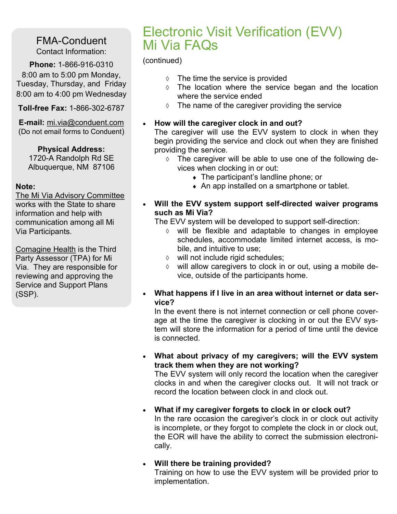## FMA-Conduent Contact Information:

**Phone:** 1-866-916-0310 8:00 am to 5:00 pm Monday, Tuesday, Thursday, and Friday 8:00 am to 4:00 pm Wednesday

**Toll-free Fax:** 1-866-302-6787

**E-mail:** mi.via@conduent.com (Do not email forms to Conduent)

## **Physical Address:**

1720-A Randolph Rd SE Albuquerque, NM 87106

#### **Note:**

The Mi Via Advisory Committee works with the State to share information and help with communication among all Mi Via Participants.

Comagine Health is the Third Party Assessor (TPA) for Mi Via. They are responsible for reviewing and approving the Service and Support Plans (SSP).

## Electronic Visit Verification (EVV) Mi Via FAQs

#### (continued)

- $\Diamond$  The time the service is provided
- The location where the service began and the location where the service ended
- $\Diamond$  The name of the caregiver providing the service

#### • **How will the caregiver clock in and out?**

The caregiver will use the EVV system to clock in when they begin providing the service and clock out when they are finished providing the service.

- $\Diamond$  The caregiver will be able to use one of the following devices when clocking in or out:
	- The participant's landline phone; or
	- An app installed on a smartphone or tablet.
- **Will the EVV system support self-directed waiver programs such as Mi Via?**

The EVV system will be developed to support self-direction:

- will be flexible and adaptable to changes in employee schedules, accommodate limited internet access, is mobile, and intuitive to use;
- will not include rigid schedules;
- $\Diamond$  will allow caregivers to clock in or out, using a mobile device, outside of the participants home.
- **What happens if I live in an area without internet or data service?**

In the event there is not internet connection or cell phone coverage at the time the caregiver is clocking in or out the EVV system will store the information for a period of time until the device is connected.

• **What about privacy of my caregivers; will the EVV system track them when they are not working?**

The EVV system will only record the location when the caregiver clocks in and when the caregiver clocks out. It will not track or record the location between clock in and clock out.

• **What if my caregiver forgets to clock in or clock out?**

In the rare occasion the caregiver's clock in or clock out activity is incomplete, or they forgot to complete the clock in or clock out, the EOR will have the ability to correct the submission electronically.

## • **Will there be training provided?**

Training on how to use the EVV system will be provided prior to implementation.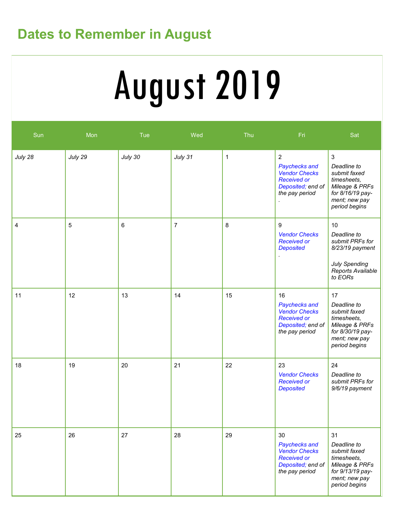## **Dates to Remember in August**

# August 2019

| Sun     | Mon     | Tue     | Wed            | Thu         | Fri                                                                                                                  | Sat                                                                                                                                |
|---------|---------|---------|----------------|-------------|----------------------------------------------------------------------------------------------------------------------|------------------------------------------------------------------------------------------------------------------------------------|
| July 28 | July 29 | July 30 | July 31        | $\mathbf 1$ | $\overline{2}$<br>Paychecks and<br><b>Vendor Checks</b><br><b>Received or</b><br>Deposited; end of<br>the pay period | $\mathbf{3}$<br>Deadline to<br>submit faxed<br>timesheets,<br>Mileage & PRFs<br>for 8/16/19 pay-<br>ment; new pay<br>period begins |
| 4       | 5       | $\,6\,$ | $\overline{7}$ | 8           | 9<br><b>Vendor Checks</b><br><b>Received or</b><br><b>Deposited</b>                                                  | 10<br>Deadline to<br>submit PRFs for<br>8/23/19 payment<br><b>July Spending</b><br>Reports Available<br>to EORs                    |
| 11      | 12      | 13      | 14             | 15          | 16<br>Paychecks and<br><b>Vendor Checks</b><br><b>Received or</b><br>Deposited; end of<br>the pay period             | 17<br>Deadline to<br>submit faxed<br>timesheets,<br>Mileage & PRFs<br>for 8/30/19 pay-<br>ment; new pay<br>period begins           |
| 18      | 19      | 20      | 21             | 22          | 23<br><b>Vendor Checks</b><br><b>Received or</b><br><b>Deposited</b>                                                 | 24<br>Deadline to<br>submit PRFs for<br>9/6/19 payment                                                                             |
| 25      | 26      | 27      | 28             | 29          | 30<br>Paychecks and<br><b>Vendor Checks</b><br><b>Received or</b><br>Deposited; end of<br>the pay period             | 31<br>Deadline to<br>submit faxed<br>timesheets,<br>Mileage & PRFs<br>for 9/13/19 pay-<br>ment; new pay<br>period begins           |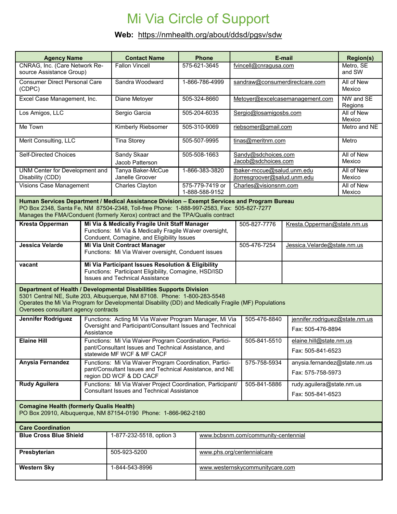## Mi Via Circle of Support

## **Web:** https://nmhealth.org/about/ddsd/pgsv/sdw

| <b>Agency Name</b>                                                                                                                                                                                                                                                                              |                                                                                                                                                               | <b>Contact Name</b>                                                                                                                                   |                                   | <b>Phone</b>                        | E-mail                                                     |                                                   | <b>Region(s)</b>                                    |  |  |  |  |
|-------------------------------------------------------------------------------------------------------------------------------------------------------------------------------------------------------------------------------------------------------------------------------------------------|---------------------------------------------------------------------------------------------------------------------------------------------------------------|-------------------------------------------------------------------------------------------------------------------------------------------------------|-----------------------------------|-------------------------------------|------------------------------------------------------------|---------------------------------------------------|-----------------------------------------------------|--|--|--|--|
| CNRAG, Inc. (Care Network Re-<br>source Assistance Group)                                                                                                                                                                                                                                       |                                                                                                                                                               | <b>Fallon Vincell</b>                                                                                                                                 | 575-621-3645                      |                                     | fvincell@cnragusa.com                                      |                                                   | Metro, SE<br>and SW                                 |  |  |  |  |
| <b>Consumer Direct Personal Care</b><br>(CDPC)                                                                                                                                                                                                                                                  |                                                                                                                                                               | Sandra Woodward<br>1-866-786-4999                                                                                                                     |                                   |                                     | sandraw@consumerdirectcare.com                             |                                                   | All of New<br>Mexico                                |  |  |  |  |
| Excel Case Management, Inc.                                                                                                                                                                                                                                                                     |                                                                                                                                                               | Diane Metoyer<br>505-324-8660                                                                                                                         |                                   |                                     | Metoyer@excelcasemanagement.com                            |                                                   | NW and SE<br>Regions                                |  |  |  |  |
| Los Amigos, LLC                                                                                                                                                                                                                                                                                 |                                                                                                                                                               | Sergio Garcia<br>505-204-6035                                                                                                                         |                                   |                                     | Sergio@losamigosbs.com                                     |                                                   | All of New<br>Mexico                                |  |  |  |  |
| Me Town                                                                                                                                                                                                                                                                                         |                                                                                                                                                               | Kimberly Riebsomer<br>505-310-9069                                                                                                                    |                                   |                                     | riebsomer@gmail.com                                        |                                                   | Metro and NE                                        |  |  |  |  |
| Merit Consulting, LLC                                                                                                                                                                                                                                                                           |                                                                                                                                                               | <b>Tina Storey</b>                                                                                                                                    | 505-507-9995<br>tinas@meritnm.com |                                     |                                                            |                                                   | Metro                                               |  |  |  |  |
| <b>Self-Directed Choices</b>                                                                                                                                                                                                                                                                    |                                                                                                                                                               | Sandy Skaar<br>Jacob Patterson                                                                                                                        | 505-508-1663                      |                                     | Sandy@sdchoices.com<br>Jacob@sdchoices.com                 |                                                   | All of New<br>Mexico                                |  |  |  |  |
| UNM Center for Development and<br>Disability (CDD)                                                                                                                                                                                                                                              |                                                                                                                                                               | Tanya Baker-McCue<br>Janelle Groover                                                                                                                  |                                   | 1-866-383-3820                      | tbaker-mccue@salud.unm.edu<br>jtorresgroover@salud.unm.edu |                                                   | All of New<br>Mexico                                |  |  |  |  |
| <b>Visions Case Management</b>                                                                                                                                                                                                                                                                  |                                                                                                                                                               | Charles Clayton                                                                                                                                       |                                   | 575-779-7419 or<br>1-888-588-9152   | Charles@visionsnm.com                                      |                                                   | All of New<br>Mexico                                |  |  |  |  |
| Human Services Department / Medical Assistance Division - Exempt Services and Program Bureau<br>PO Box 2348, Santa Fe, NM 87504-2348, Toll-free Phone: 1-888-997-2583, Fax: 505-827-7277<br>Manages the FMA/Conduent (formerly Xerox) contract and the TPA/Qualis contract                      |                                                                                                                                                               |                                                                                                                                                       |                                   |                                     |                                                            |                                                   |                                                     |  |  |  |  |
| <b>Kresta Opperman</b>                                                                                                                                                                                                                                                                          |                                                                                                                                                               | Mi Via & Medically Fragile Unit Staff Manager<br>505-827-7776<br>Functions: Mi Via & Medically Fragile Waiver oversight,                              |                                   |                                     |                                                            | Kresta.Opperman@state.nm.us                       |                                                     |  |  |  |  |
| Jessica Velarde                                                                                                                                                                                                                                                                                 |                                                                                                                                                               | Conduent, Comagine, and Eligibility Issues<br>Mi Via Unit Contract Manager<br>Functions: Mi Via Waiver oversight, Conduent issues                     |                                   |                                     | 505-476-7254                                               | Jessica.Velarde@state.nm.us                       |                                                     |  |  |  |  |
| vacant                                                                                                                                                                                                                                                                                          |                                                                                                                                                               | Mi Via Participant Issues Resolution & Eligibility<br>Functions: Participant Eligibility, Comagine, HSD/ISD<br><b>Issues and Technical Assistance</b> |                                   |                                     |                                                            |                                                   |                                                     |  |  |  |  |
| Department of Health / Developmental Disabilities Supports Division<br>5301 Central NE, Suite 203, Albuquerque, NM 87108. Phone: 1-800-283-5548<br>Operates the Mi Via Program for Developmental Disability (DD) and Medically Fragile (MF) Populations<br>Oversees consultant agency contracts |                                                                                                                                                               |                                                                                                                                                       |                                   |                                     |                                                            |                                                   |                                                     |  |  |  |  |
| <b>Jennifer Rodriguez</b>                                                                                                                                                                                                                                                                       | Functions: Acting Mi Via Waiver Program Manager, Mi Via<br>505-476-8840<br>Oversight and Participant/Consultant Issues and Technical<br>Assistance            |                                                                                                                                                       |                                   |                                     |                                                            |                                                   | jennifer.rodriguez@state.nm.us<br>Fax: 505-476-8894 |  |  |  |  |
| <b>Elaine Hill</b>                                                                                                                                                                                                                                                                              | 505-841-5510<br>Functions: Mi Via Waiver Program Coordination, Partici-<br>pant/Consultant Issues and Technical Assistance, and<br>statewide MF WCF & MF CACF |                                                                                                                                                       |                                   |                                     |                                                            | elaine.hill@state.nm.us<br>Fax: 505-841-6523      |                                                     |  |  |  |  |
| Anysia Fernandez                                                                                                                                                                                                                                                                                | Functions: Mi Via Waiver Program Coordination, Partici-<br>pant/Consultant Issues and Technical Assistance, and NE<br>region DD WCF & DD CACF                 |                                                                                                                                                       |                                   |                                     | 575-758-5934                                               | anysia.fernandez@state.nm.us<br>Fax: 575-758-5973 |                                                     |  |  |  |  |
| <b>Rudy Aguilera</b>                                                                                                                                                                                                                                                                            | Functions: Mi Via Waiver Project Coordination, Participant/<br><b>Consultant Issues and Technical Assistance</b>                                              |                                                                                                                                                       |                                   |                                     | 505-841-5886                                               | rudy.aguilera@state.nm.us<br>Fax: 505-841-6523    |                                                     |  |  |  |  |
| <b>Comagine Health (formerly Qualis Health)</b><br>PO Box 20910, Albuquerque, NM 87154-0190 Phone: 1-866-962-2180                                                                                                                                                                               |                                                                                                                                                               |                                                                                                                                                       |                                   |                                     |                                                            |                                                   |                                                     |  |  |  |  |
| <b>Care Coordination</b>                                                                                                                                                                                                                                                                        |                                                                                                                                                               |                                                                                                                                                       |                                   |                                     |                                                            |                                                   |                                                     |  |  |  |  |
| <b>Blue Cross Blue Shield</b>                                                                                                                                                                                                                                                                   |                                                                                                                                                               | 1-877-232-5518, option 3                                                                                                                              |                                   | www.bcbsnm.com/community-centennial |                                                            |                                                   |                                                     |  |  |  |  |
| Presbyterian                                                                                                                                                                                                                                                                                    |                                                                                                                                                               | 505-923-5200                                                                                                                                          |                                   |                                     | www.phs.org/centennialcare                                 |                                                   |                                                     |  |  |  |  |
| <b>Western Sky</b>                                                                                                                                                                                                                                                                              |                                                                                                                                                               | 1-844-543-8996                                                                                                                                        |                                   | www.westernskycommunitycare.com     |                                                            |                                                   |                                                     |  |  |  |  |